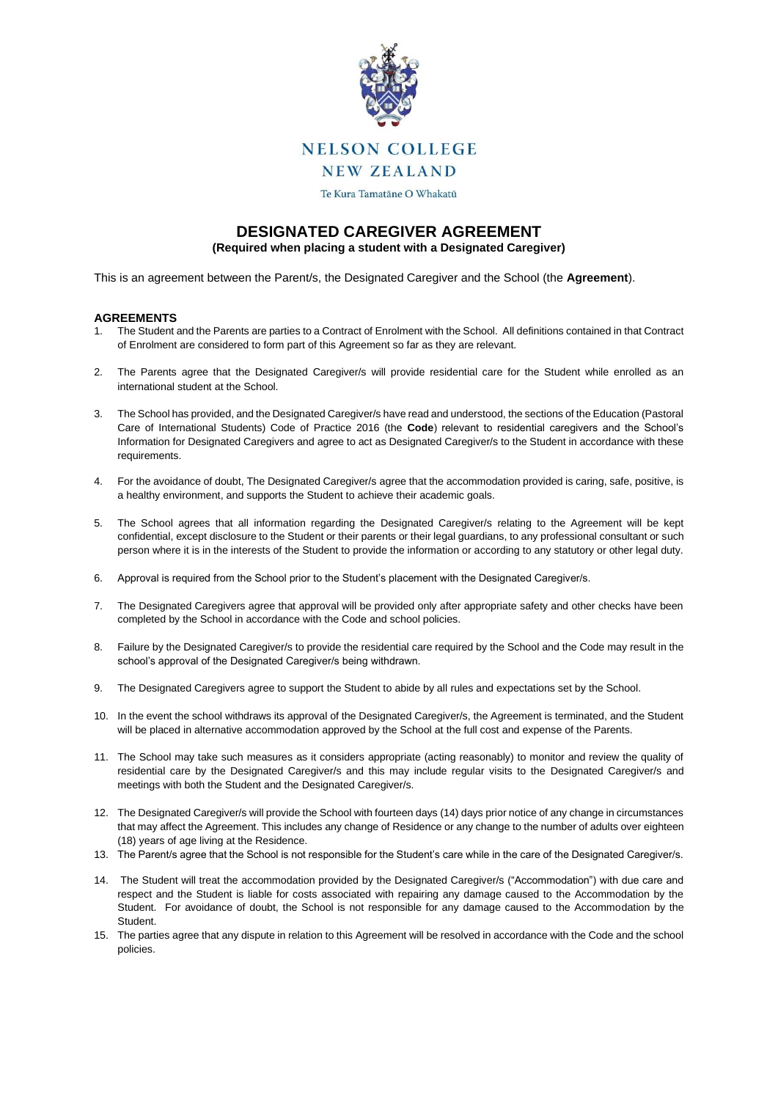

**NELSON COLLEGE** 

**NEW ZEALAND** 

Te Kura Tamatāne O Whakatū

## **DESIGNATED CAREGIVER AGREEMENT (Required when placing a student with a Designated Caregiver)**

This is an agreement between the Parent/s, the Designated Caregiver and the School (the **Agreement**).

## **AGREEMENTS**

- 1. The Student and the Parents are parties to a Contract of Enrolment with the School. All definitions contained in that Contract of Enrolment are considered to form part of this Agreement so far as they are relevant.
- 2. The Parents agree that the Designated Caregiver/s will provide residential care for the Student while enrolled as an international student at the School.
- 3. The School has provided, and the Designated Caregiver/s have read and understood, the sections of the Education (Pastoral Care of International Students) Code of Practice 2016 (the **Code**) relevant to residential caregivers and the School's Information for Designated Caregivers and agree to act as Designated Caregiver/s to the Student in accordance with these requirements.
- 4. For the avoidance of doubt, The Designated Caregiver/s agree that the accommodation provided is caring, safe, positive, is a healthy environment, and supports the Student to achieve their academic goals.
- 5. The School agrees that all information regarding the Designated Caregiver/s relating to the Agreement will be kept confidential, except disclosure to the Student or their parents or their legal guardians, to any professional consultant or such person where it is in the interests of the Student to provide the information or according to any statutory or other legal duty.
- 6. Approval is required from the School prior to the Student's placement with the Designated Caregiver/s.
- 7. The Designated Caregivers agree that approval will be provided only after appropriate safety and other checks have been completed by the School in accordance with the Code and school policies.
- 8. Failure by the Designated Caregiver/s to provide the residential care required by the School and the Code may result in the school's approval of the Designated Caregiver/s being withdrawn.
- 9. The Designated Caregivers agree to support the Student to abide by all rules and expectations set by the School.
- 10. In the event the school withdraws its approval of the Designated Caregiver/s, the Agreement is terminated, and the Student will be placed in alternative accommodation approved by the School at the full cost and expense of the Parents.
- 11. The School may take such measures as it considers appropriate (acting reasonably) to monitor and review the quality of residential care by the Designated Caregiver/s and this may include regular visits to the Designated Caregiver/s and meetings with both the Student and the Designated Caregiver/s.
- 12. The Designated Caregiver/s will provide the School with fourteen days (14) days prior notice of any change in circumstances that may affect the Agreement. This includes any change of Residence or any change to the number of adults over eighteen (18) years of age living at the Residence.
- 13. The Parent/s agree that the School is not responsible for the Student's care while in the care of the Designated Caregiver/s.
- 14. The Student will treat the accommodation provided by the Designated Caregiver/s ("Accommodation") with due care and respect and the Student is liable for costs associated with repairing any damage caused to the Accommodation by the Student. For avoidance of doubt, the School is not responsible for any damage caused to the Accommodation by the Student.
- 15. The parties agree that any dispute in relation to this Agreement will be resolved in accordance with the Code and the school policies.